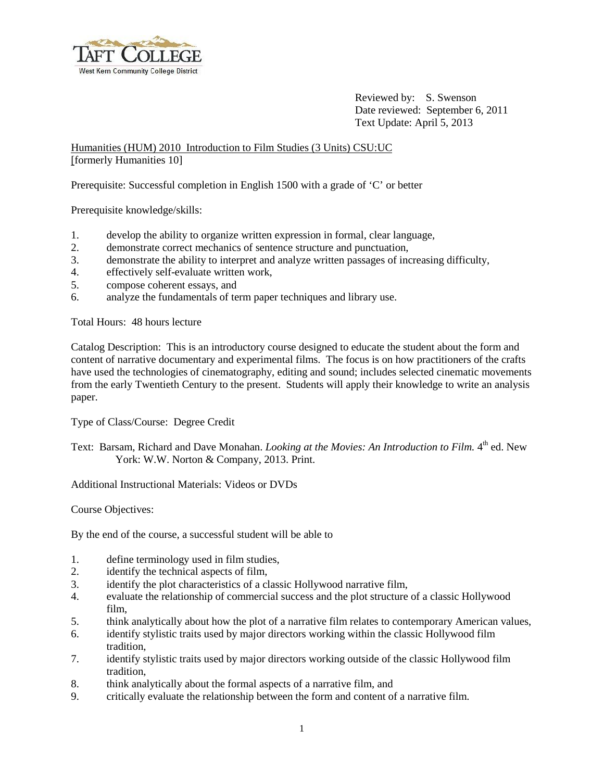

Reviewed by: S. Swenson Date reviewed: September 6, 2011 Text Update: April 5, 2013

Humanities (HUM) 2010 Introduction to Film Studies (3 Units) CSU:UC [formerly Humanities 10]

Prerequisite: Successful completion in English 1500 with a grade of 'C' or better

Prerequisite knowledge/skills:

- 1. develop the ability to organize written expression in formal, clear language,
- 2. demonstrate correct mechanics of sentence structure and punctuation,
- 3. demonstrate the ability to interpret and analyze written passages of increasing difficulty,
- 4. effectively self-evaluate written work,
- 5. compose coherent essays, and
- 6. analyze the fundamentals of term paper techniques and library use.

Total Hours: 48 hours lecture

Catalog Description: This is an introductory course designed to educate the student about the form and content of narrative documentary and experimental films. The focus is on how practitioners of the crafts have used the technologies of cinematography, editing and sound; includes selected cinematic movements from the early Twentieth Century to the present. Students will apply their knowledge to write an analysis paper.

Type of Class/Course: Degree Credit

Text: Barsam, Richard and Dave Monahan. *Looking at the Movies: An Introduction to Film*. 4<sup>th</sup> ed. New York: W.W. Norton & Company, 2013. Print.

Additional Instructional Materials: Videos or DVDs

Course Objectives:

By the end of the course, a successful student will be able to

- 1. define terminology used in film studies,
- 2. identify the technical aspects of film,
- 3. identify the plot characteristics of a classic Hollywood narrative film,
- 4. evaluate the relationship of commercial success and the plot structure of a classic Hollywood film,
- 5. think analytically about how the plot of a narrative film relates to contemporary American values,
- 6. identify stylistic traits used by major directors working within the classic Hollywood film tradition,
- 7. identify stylistic traits used by major directors working outside of the classic Hollywood film tradition,
- 8. think analytically about the formal aspects of a narrative film, and
- 9. critically evaluate the relationship between the form and content of a narrative film.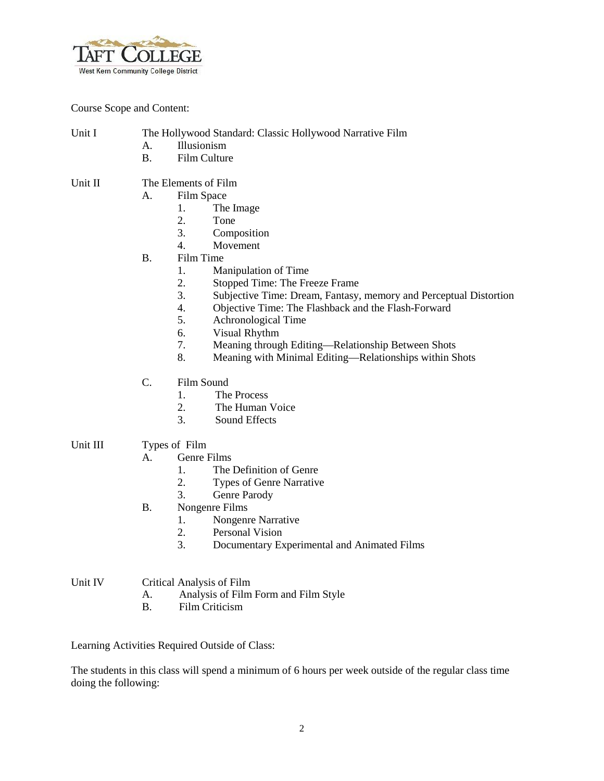

Course Scope and Content:

- Unit I The Hollywood Standard: Classic Hollywood Narrative Film
	- A. Illusionism
	- B. Film Culture
- Unit II The Elements of Film
	- A. Film Space
		- 1. The Image
			- 2. Tone
		- 3. Composition
		- 4. Movement
	- B. Film Time
		- 1. Manipulation of Time
		- 2. Stopped Time: The Freeze Frame
		- 3. Subjective Time: Dream, Fantasy, memory and Perceptual Distortion
		- 4. Objective Time: The Flashback and the Flash-Forward
		- 5. Achronological Time
		- 6. Visual Rhythm
		- 7. Meaning through Editing—Relationship Between Shots
		- 8. Meaning with Minimal Editing—Relationships within Shots
	- C. Film Sound
		- 1. The Process
		- 2. The Human Voice
		- 3. Sound Effects
- Unit III Types of Film
	- A. Genre Films
		- 1. The Definition of Genre
		- 2. Types of Genre Narrative
		- 3. Genre Parody
	- B. Nongenre Films
		- 1. Nongenre Narrative
		- 2. Personal Vision
		- 3. Documentary Experimental and Animated Films

## Unit IV Critical Analysis of Film

- A. Analysis of Film Form and Film Style
- B. Film Criticism

Learning Activities Required Outside of Class:

The students in this class will spend a minimum of 6 hours per week outside of the regular class time doing the following: